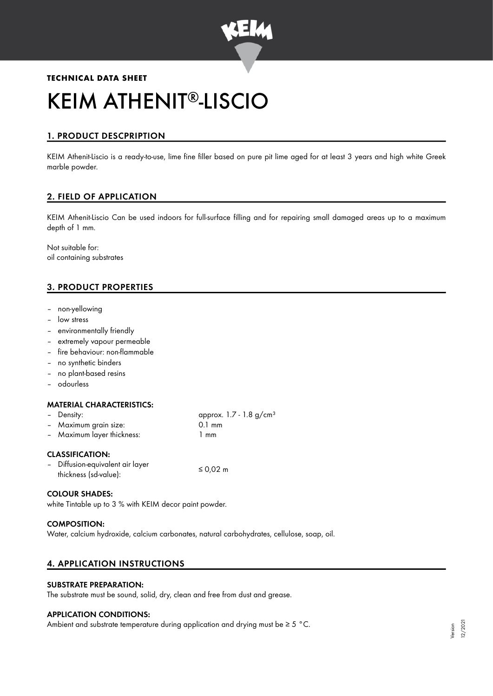

# **TECHNICAL DATA SHEET** KEIM ATHENIT®-LISCIO

# 1. PRODUCT DESCPRIPTION

KEIM Athenit-Liscio is a ready-to-use, lime fine filler based on pure pit lime aged for at least 3 years and high white Greek marble powder.

# 2. FIELD OF APPLICATION

KEIM Athenit-Liscio Can be used indoors for full-surface filling and for repairing small damaged areas up to a maximum depth of 1 mm.

Not suitable for: oil containing substrates

# 3. PRODUCT PROPERTIES

- non-yellowing
- low stress
- environmentally friendly
- extremely vapour permeable
- fire behaviour: non-flammable
- no synthetic binders
- no plant-based resins
- odourless

## MATERIAL CHARACTERISTICS:

|                        | - Density:                 | approx. $1.7 - 1.8$ g/cm <sup>3</sup> |  |
|------------------------|----------------------------|---------------------------------------|--|
|                        | - Maximum grain size:      | $0.1 \text{ mm}$                      |  |
|                        | - Maximum layer thickness: | 1 mm                                  |  |
| <b>CLASSIFICATION:</b> |                            |                                       |  |

| - Diffusion-equivalent air layer | ≤ 0,02 m |
|----------------------------------|----------|
| thickness (sd-value):            |          |

## COLOUR SHADES:

white Tintable up to 3 % with KEIM decor paint powder.

#### COMPOSITION:

Water, calcium hydroxide, calcium carbonates, natural carbohydrates, cellulose, soap, oil.

# 4. APPLICATION INSTRUCTIONS

# SUBSTRATE PREPARATION:

The substrate must be sound, solid, dry, clean and free from dust and grease.

#### APPLICATION CONDITIONS:

Ambient and substrate temperature during application and drying must be ≥ 5 °C.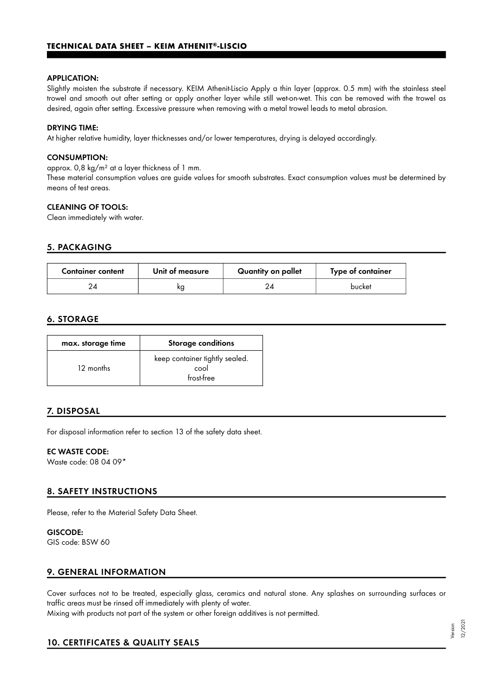#### APPLICATION:

Slightly moisten the substrate if necessary. KEIM Athenit-Liscio Apply a thin layer (approx. 0.5 mm) with the stainless steel trowel and smooth out after setting or apply another layer while still wet-on-wet. This can be removed with the trowel as desired, again after setting. Excessive pressure when removing with a metal trowel leads to metal abrasion.

#### DRYING TIME:

At higher relative humidity, layer thicknesses and/or lower temperatures, drying is delayed accordingly.

#### CONSUMPTION:

approx. 0,8 kg/m² at a layer thickness of 1 mm.

These material consumption values are guide values for smooth substrates. Exact consumption values must be determined by means of test areas.

### CLEANING OF TOOLS:

Clean immediately with water.

# 5. PACKAGING

| <b>Container content</b> | Unit of measure | Quantity on pallet | Type of container |
|--------------------------|-----------------|--------------------|-------------------|
|                          | ΚO              |                    | bucket            |

## 6. STORAGE

| max. storage time | <b>Storage conditions</b>                            |
|-------------------|------------------------------------------------------|
| 12 months         | keep container tightly sealed.<br>cool<br>frost-free |

# 7. DISPOSAL

For disposal information refer to section 13 of the safety data sheet.

#### EC WASTE CODE:

Waste code: 08 04 09\*

# 8. SAFETY INSTRUCTIONS

Please, refer to the Material Safety Data Sheet.

GISCODE: GIS code: BSW 60

# 9. GENERAL INFORMATION

Cover surfaces not to be treated, especially glass, ceramics and natural stone. Any splashes on surrounding surfaces or traffic areas must be rinsed off immediately with plenty of water. Mixing with products not part of the system or other foreign additives is not permitted.

# 10. CERTIFICATES & QUALITY SEALS